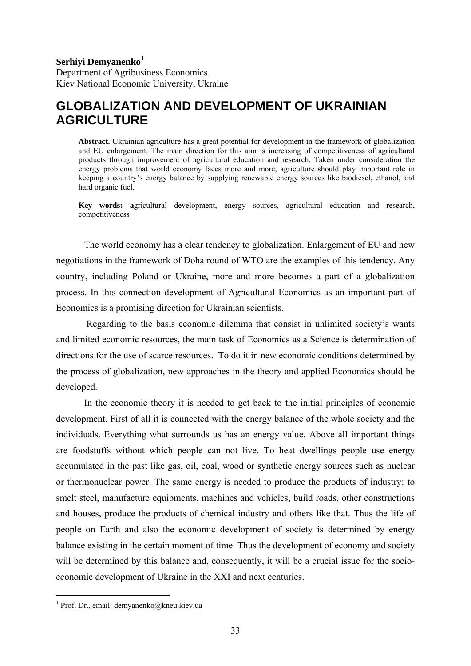## **Serhiyi Demyanenko[1](#page-0-0)**

Department of Agribusiness Economics Kiev National Economic University, Ukraine

## **GLOBALIZATION AND DEVELOPMENT OF UKRAINIAN AGRICULTURE**

**Abstract.** Ukrainian agriculture has a great potential for development in the framework of globalization and EU enlargement. The main direction for this aim is increasing of competitiveness of agricultural products through improvement of agricultural education and research. Taken under consideration the energy problems that world economy faces more and more, agriculture should play important role in keeping a country's energy balance by supplying renewable energy sources like biodiesel, ethanol, and hard organic fuel.

**Key words: a**gricultural development, energy sources, agricultural education and research, competitiveness

The world economy has a clear tendency to globalization. Enlargement of EU and new negotiations in the framework of Doha round of WTO are the examples of this tendency. Any country, including Poland or Ukraine, more and more becomes a part of a globalization process. In this connection development of Agricultural Economics as an important part of Economics is a promising direction for Ukrainian scientists.

 Regarding to the basis economic dilemma that consist in unlimited society's wants and limited economic resources, the main task of Economics as a Science is determination of directions for the use of scarce resources. To do it in new economic conditions determined by the process of globalization, new approaches in the theory and applied Economics should be developed.

In the economic theory it is needed to get back to the initial principles of economic development. First of all it is connected with the energy balance of the whole society and the individuals. Everything what surrounds us has an energy value. Above all important things are foodstuffs without which people can not live. To heat dwellings people use energy accumulated in the past like gas, oil, coal, wood or synthetic energy sources such as nuclear or thermonuclear power. The same energy is needed to produce the products of industry: to smelt steel, manufacture equipments, machines and vehicles, build roads, other constructions and houses, produce the products of chemical industry and others like that. Thus the life of people on Earth and also the economic development of society is determined by energy balance existing in the certain moment of time. Thus the development of economy and society will be determined by this balance and, consequently, it will be a crucial issue for the socioeconomic development of Ukraine in the XXI and next centuries.

-

<span id="page-0-0"></span><sup>1</sup> Prof. Dr., email: demyanenko@kneu.kiev.ua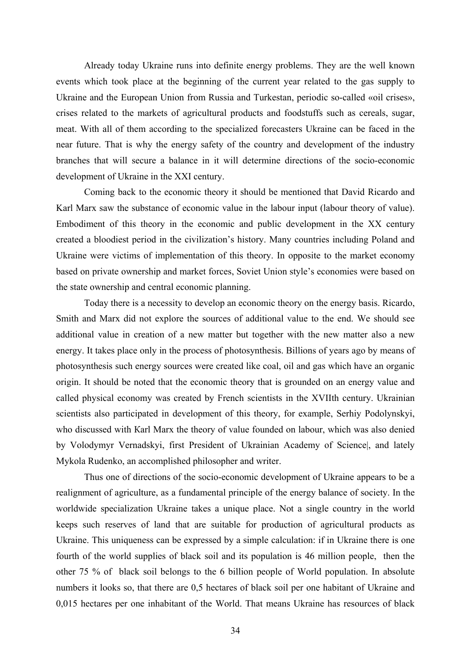Already today Ukraine runs into definite energy problems. They are the well known events which took place at the beginning of the current year related to the gas supply to Ukraine and the European Union from Russia and Turkestan, periodic so-called «oil crises», crises related to the markets of agricultural products and foodstuffs such as cereals, sugar, meat. With all of them according to the specialized forecasters Ukraine can be faced in the near future. That is why the energy safety of the country and development of the industry branches that will secure a balance in it will determine directions of the socio-economic development of Ukraine in the XXI century.

Coming back to the economic theory it should be mentioned that David Ricardo and Karl Marx saw the substance of economic value in the labour input (labour theory of value). Embodiment of this theory in the economic and public development in the XX century created a bloodiest period in the civilization's history. Many countries including Poland and Ukraine were victims of implementation of this theory. In opposite to the market economy based on private ownership and market forces, Soviet Union style's economies were based on the state ownership and central economic planning.

Today there is a necessity to develop an economic theory on the energy basis. Ricardo, Smith and Marx did not explore the sources of additional value to the end. We should see additional value in creation of a new matter but together with the new matter also a new energy. It takes place only in the process of photosynthesis. Billions of years ago by means of photosynthesis such energy sources were created like coal, oil and gas which have an organic origin. It should be noted that the economic theory that is grounded on an energy value and called physical economy was created by French scientists in the XVIIth century. Ukrainian scientists also participated in development of this theory, for example, Serhiy Podolynskyi, who discussed with Кarl Мarx the theory of value founded on labour, which was also denied by Volodymyr Vernadskyi, first President of Ukrainian Academy of Science|, and lately Mykola Rudenko, an accomplished philosopher and writer.

Thus one of directions of the socio-economic development of Ukraine appears to be a realignment of agriculture, as a fundamental principle of the energy balance of society. In the worldwide specialization Ukraine takes a unique place. Not a single country in the world keeps such reserves of land that are suitable for production of agricultural products as Ukraine. This uniqueness can be expressed by a simple calculation: if in Ukraine there is one fourth of the world supplies of black soil and its population is 46 million people, then the other 75 % of black soil belongs to the 6 billion people of World population. In absolute numbers it looks so, that there are 0,5 hectares of black soil per one habitant of Ukraine and 0,015 hectares per one inhabitant of the World. That means Ukraine has resources of black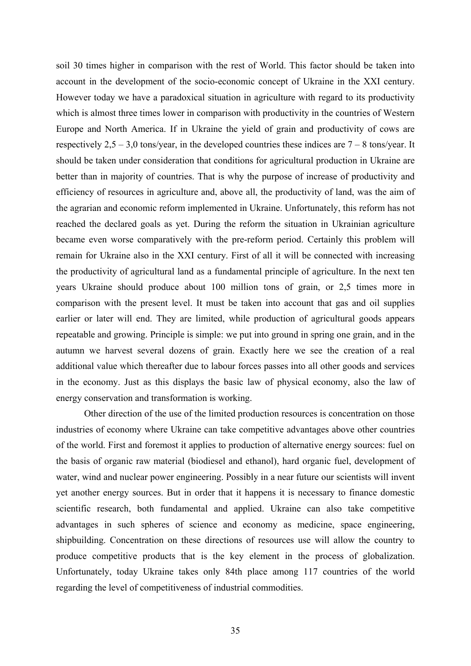soil 30 times higher in comparison with the rest of World. This factor should be taken into account in the development of the socio-economic concept of Ukraine in the ХХІ century. However today we have a paradoxical situation in agriculture with regard to its productivity which is almost three times lower in comparison with productivity in the countries of Western Europe and North America. If in Ukraine the yield of grain and productivity of cows are respectively  $2.5 - 3.0$  tons/year, in the developed countries these indices are  $7 - 8$  tons/year. It should be taken under consideration that conditions for agricultural production in Ukraine are better than in majority of countries. That is why the purpose of increase of productivity and efficiency of resources in agriculture and, above all, the productivity of land, was the aim of the agrarian and economic reform implemented in Ukraine. Unfortunately, this reform has not reached the declared goals as yet. During the reform the situation in Ukrainian agriculture became even worse comparatively with the pre-reform period. Certainly this problem will remain for Ukraine also in the ХХІ century. First of all it will be connected with increasing the productivity of agricultural land as a fundamental principle of agriculture. In the next ten years Ukraine should produce about 100 million tons of grain, or 2,5 times more in comparison with the present level. It must be taken into account that gas and oil supplies earlier or later will end. They are limited, while production of agricultural goods appears repeatable and growing. Principle is simple: we put into ground in spring one grain, and in the autumn we harvest several dozens of grain. Exactly here we see the creation of a real additional value which thereafter due to labour forces passes into all other goods and services in the economy. Just as this displays the basic law of physical economy, also the law of energy conservation and transformation is working.

Other direction of the use of the limited production resources is concentration on those industries of economy where Ukraine can take competitive advantages above other countries of the world. First and foremost it applies to production of alternative energy sources: fuel on the basis of organic raw material (biodiesel and ethanol), hard organic fuel, development of water, wind and nuclear power engineering. Possibly in a near future our scientists will invent yet another energy sources. But in order that it happens it is necessary to finance domestic scientific research, both fundamental and applied. Ukraine can also take competitive advantages in such spheres of science and economy as medicine, space engineering, shipbuilding. Concentration on these directions of resources use will allow the country to produce competitive products that is the key element in the process of globalization. Unfortunately, today Ukraine takes only 84th place among 117 countries of the world regarding the level of competitiveness of industrial commodities.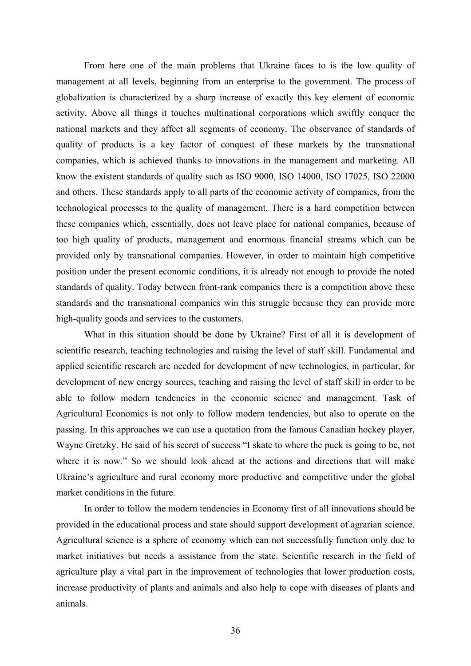From here one of the main problems that Ukraine faces to is the low quality of management at all levels, beginning from an enterprise to the government. The process of globalization is characterized by a sharp increase of exactly this key element of economic activity. Above all things it touches multinational corporations which swiftly conquer the national markets and they affect all segments of economy. The observance of standards of quality of products is a key factor of conquest of these markets by the transnational companies, which is achieved thanks to innovations in the management and marketing. All know the existent standards of quality such as ISO 9000, ISO 14000, ISO 17025, ISO 22000 and others. These standards apply to all parts of the economic activity of companies, from the technological processes to the quality of management. There is a hard competition between these companies which, essentially, does not leave place for national companies, because of too high quality of products, management and enormous financial streams which can be provided only by transnational companies. However, in order to maintain high competitive position under the present economic conditions, it is already not enough to provide the noted standards of quality. Today between front-rank companies there is a competition above these standards and the transnational companies win this struggle because they can provide more high-quality goods and services to the customers.

What in this situation should be done by Ukraine? First of all it is development of scientific research, teaching technologies and raising the level of staff skill. Fundamental and applied scientific research are needed for development of new technologies, in particular, for development of new energy sources, teaching and raising the level of staff skill in order to be able to follow modern tendencies in the economic science and management. Task of Agricultural Economics is not only to follow modern tendencies, but also to operate on the passing. In this approaches we can use a quotation from the famous Canadian hockey player, Wayne Gretzky. He said of his secret of success "I skate to where the puck is going to be, not where it is now." So we should look ahead at the actions and directions that will make Ukraine's agriculture and rural economy more productive and competitive under the global market conditions in the future.

In order to follow the modern tendencies in Economy first of all innovations should be provided in the educational process and state should support development of agrarian science. Agricultural science is a sphere of economy which can not successfully function only due to market initiatives but needs a assistance from the state. Scientific research in the field of agriculture play a vital part in the improvement of technologies that lower production costs, increase productivity of plants and animals and also help to cope with diseases of plants and animals.